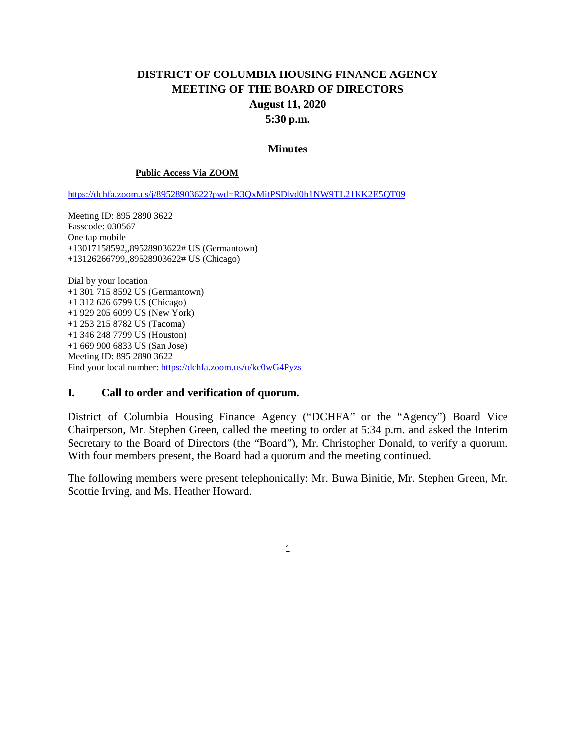## **DISTRICT OF COLUMBIA HOUSING FINANCE AGENCY MEETING OF THE BOARD OF DIRECTORS August 11, 2020 5:30 p.m.**

#### **Minutes**

#### **Public Access Via ZOOM**

<https://dchfa.zoom.us/j/89528903622?pwd=R3QxMitPSDlvd0h1NW9TL21KK2E5QT09>

Meeting ID: 895 2890 3622 Passcode: 030567 One tap mobile +13017158592,,89528903622# US (Germantown) +13126266799,,89528903622# US (Chicago) Dial by your location +1 301 715 8592 US (Germantown) +1 312 626 6799 US (Chicago) +1 929 205 6099 US (New York) +1 253 215 8782 US (Tacoma) +1 346 248 7799 US (Houston) +1 669 900 6833 US (San Jose)

Meeting ID: 895 2890 3622

Find your local number:<https://dchfa.zoom.us/u/kc0wG4Pyzs>

#### **I. Call to order and verification of quorum.**

District of Columbia Housing Finance Agency ("DCHFA" or the "Agency") Board Vice Chairperson, Mr. Stephen Green, called the meeting to order at 5:34 p.m. and asked the Interim Secretary to the Board of Directors (the "Board"), Mr. Christopher Donald, to verify a quorum. With four members present, the Board had a quorum and the meeting continued.

The following members were present telephonically: Mr. Buwa Binitie, Mr. Stephen Green, Mr. Scottie Irving, and Ms. Heather Howard.

1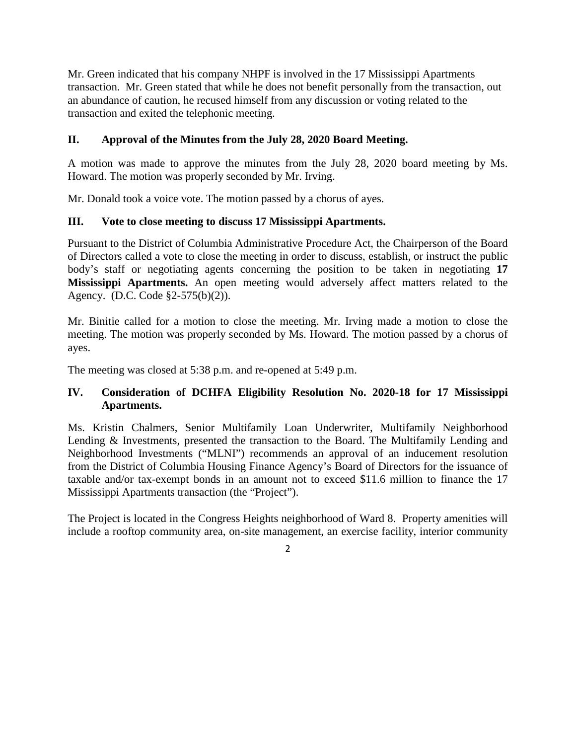Mr. Green indicated that his company NHPF is involved in the 17 Mississippi Apartments transaction. Mr. Green stated that while he does not benefit personally from the transaction, out an abundance of caution, he recused himself from any discussion or voting related to the transaction and exited the telephonic meeting.

### **II. Approval of the Minutes from the July 28, 2020 Board Meeting.**

A motion was made to approve the minutes from the July 28, 2020 board meeting by Ms. Howard. The motion was properly seconded by Mr. Irving.

Mr. Donald took a voice vote. The motion passed by a chorus of ayes.

#### **III. Vote to close meeting to discuss 17 Mississippi Apartments.**

Pursuant to the District of Columbia Administrative Procedure Act, the Chairperson of the Board of Directors called a vote to close the meeting in order to discuss, establish, or instruct the public body's staff or negotiating agents concerning the position to be taken in negotiating **17 Mississippi Apartments.** An open meeting would adversely affect matters related to the Agency. (D.C. Code §2-575(b)(2)).

Mr. Binitie called for a motion to close the meeting. Mr. Irving made a motion to close the meeting. The motion was properly seconded by Ms. Howard. The motion passed by a chorus of ayes.

The meeting was closed at 5:38 p.m. and re-opened at 5:49 p.m.

### **IV. Consideration of DCHFA Eligibility Resolution No. 2020-18 for 17 Mississippi Apartments.**

Ms. Kristin Chalmers, Senior Multifamily Loan Underwriter, Multifamily Neighborhood Lending & Investments, presented the transaction to the Board. The Multifamily Lending and Neighborhood Investments ("MLNI") recommends an approval of an inducement resolution from the District of Columbia Housing Finance Agency's Board of Directors for the issuance of taxable and/or tax-exempt bonds in an amount not to exceed \$11.6 million to finance the 17 Mississippi Apartments transaction (the "Project").

The Project is located in the Congress Heights neighborhood of Ward 8. Property amenities will include a rooftop community area, on-site management, an exercise facility, interior community

 $\mathfrak{Z}$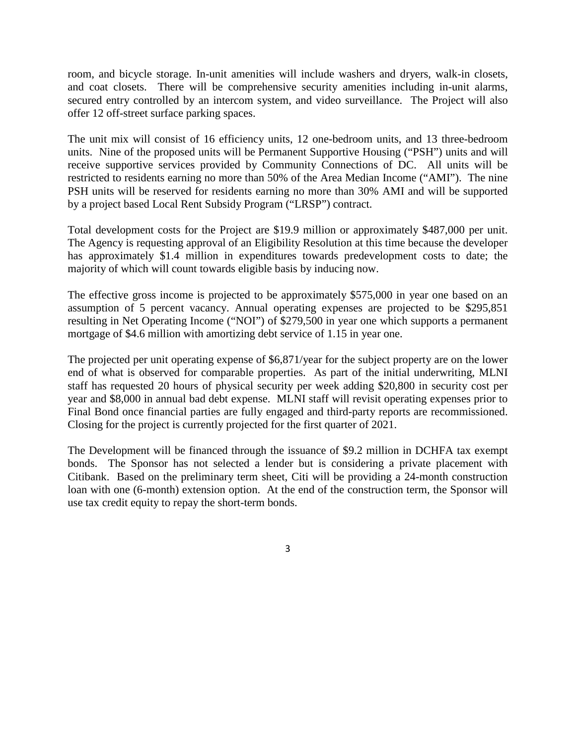room, and bicycle storage. In-unit amenities will include washers and dryers, walk-in closets, and coat closets. There will be comprehensive security amenities including in-unit alarms, secured entry controlled by an intercom system, and video surveillance. The Project will also offer 12 off-street surface parking spaces.

The unit mix will consist of 16 efficiency units, 12 one-bedroom units, and 13 three-bedroom units. Nine of the proposed units will be Permanent Supportive Housing ("PSH") units and will receive supportive services provided by Community Connections of DC. All units will be restricted to residents earning no more than 50% of the Area Median Income ("AMI"). The nine PSH units will be reserved for residents earning no more than 30% AMI and will be supported by a project based Local Rent Subsidy Program ("LRSP") contract.

Total development costs for the Project are \$19.9 million or approximately \$487,000 per unit. The Agency is requesting approval of an Eligibility Resolution at this time because the developer has approximately \$1.4 million in expenditures towards predevelopment costs to date; the majority of which will count towards eligible basis by inducing now.

The effective gross income is projected to be approximately \$575,000 in year one based on an assumption of 5 percent vacancy. Annual operating expenses are projected to be \$295,851 resulting in Net Operating Income ("NOI") of \$279,500 in year one which supports a permanent mortgage of \$4.6 million with amortizing debt service of 1.15 in year one.

The projected per unit operating expense of \$6,871/year for the subject property are on the lower end of what is observed for comparable properties. As part of the initial underwriting, MLNI staff has requested 20 hours of physical security per week adding \$20,800 in security cost per year and \$8,000 in annual bad debt expense. MLNI staff will revisit operating expenses prior to Final Bond once financial parties are fully engaged and third-party reports are recommissioned. Closing for the project is currently projected for the first quarter of 2021.

The Development will be financed through the issuance of \$9.2 million in DCHFA tax exempt bonds. The Sponsor has not selected a lender but is considering a private placement with Citibank. Based on the preliminary term sheet, Citi will be providing a 24-month construction loan with one (6-month) extension option. At the end of the construction term, the Sponsor will use tax credit equity to repay the short-term bonds.

3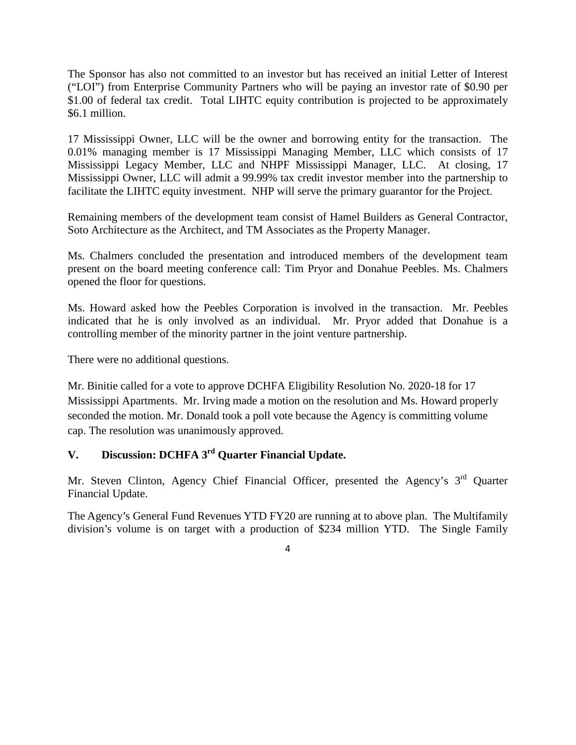The Sponsor has also not committed to an investor but has received an initial Letter of Interest ("LOI") from Enterprise Community Partners who will be paying an investor rate of \$0.90 per \$1.00 of federal tax credit. Total LIHTC equity contribution is projected to be approximately \$6.1 million.

17 Mississippi Owner, LLC will be the owner and borrowing entity for the transaction. The 0.01% managing member is 17 Mississippi Managing Member, LLC which consists of 17 Mississippi Legacy Member, LLC and NHPF Mississippi Manager, LLC. At closing, 17 Mississippi Owner, LLC will admit a 99.99% tax credit investor member into the partnership to facilitate the LIHTC equity investment. NHP will serve the primary guarantor for the Project.

Remaining members of the development team consist of Hamel Builders as General Contractor, Soto Architecture as the Architect, and TM Associates as the Property Manager.

Ms. Chalmers concluded the presentation and introduced members of the development team present on the board meeting conference call: Tim Pryor and Donahue Peebles. Ms. Chalmers opened the floor for questions.

Ms. Howard asked how the Peebles Corporation is involved in the transaction. Mr. Peebles indicated that he is only involved as an individual. Mr. Pryor added that Donahue is a controlling member of the minority partner in the joint venture partnership.

There were no additional questions.

Mr. Binitie called for a vote to approve DCHFA Eligibility Resolution No. 2020-18 for 17 Mississippi Apartments. Mr. Irving made a motion on the resolution and Ms. Howard properly seconded the motion. Mr. Donald took a poll vote because the Agency is committing volume cap. The resolution was unanimously approved.

# **V. Discussion: DCHFA 3rd Quarter Financial Update.**

Mr. Steven Clinton, Agency Chief Financial Officer, presented the Agency's 3<sup>rd</sup> Ouarter Financial Update.

The Agency's General Fund Revenues YTD FY20 are running at to above plan. The Multifamily division's volume is on target with a production of \$234 million YTD. The Single Family